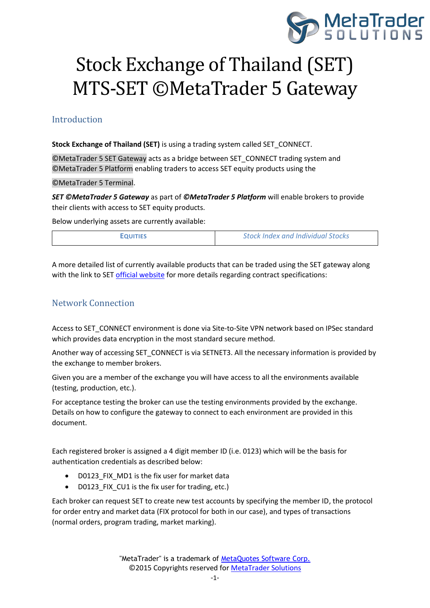

# Stock Exchange of Thailand (SET) MTS-SET ©MetaTrader 5 Gateway

# Introduction

**Stock Exchange of Thailand (SET)** is using a trading system called SET\_CONNECT.

©MetaTrader 5 SET Gateway acts as a bridge between SET\_CONNECT trading system and ©MetaTrader 5 Platform enabling traders to access SET equity products using the

©MetaTrader 5 Terminal.

*SET ©MetaTrader 5 Gateway* as part of *©MetaTrader 5 Platform* will enable brokers to provide their clients with access to SET equity products.

Below underlying assets are currently available:

| <b>EQUITIES</b> | <b>Stock Index and Individual Stocks</b> |  |
|-----------------|------------------------------------------|--|
|-----------------|------------------------------------------|--|

A more detailed list of currently available products that can be traded using the SET gateway along with the link to SET [official website](http://www.set.or.th/en/products/equities/equities_p1.html) for more details regarding contract specifications:

# Network Connection

Access to SET\_CONNECT environment is done via Site-to-Site VPN network based on IPSec standard which provides data encryption in the most standard secure method.

Another way of accessing SET\_CONNECT is via SETNET3. All the necessary information is provided by the exchange to member brokers.

Given you are a member of the exchange you will have access to all the environments available (testing, production, etc.).

For acceptance testing the broker can use the testing environments provided by the exchange. Details on how to configure the gateway to connect to each environment are provided in this document.

Each registered broker is assigned a 4 digit member ID (i.e. 0123) which will be the basis for authentication credentials as described below:

- D0123 FIX MD1 is the fix user for market data
- D0123 FIX CU1 is the fix user for trading, etc.)

Each broker can request SET to create new test accounts by specifying the member ID, the protocol for order entry and market data (FIX protocol for both in our case), and types of transactions (normal orders, program trading, market marking).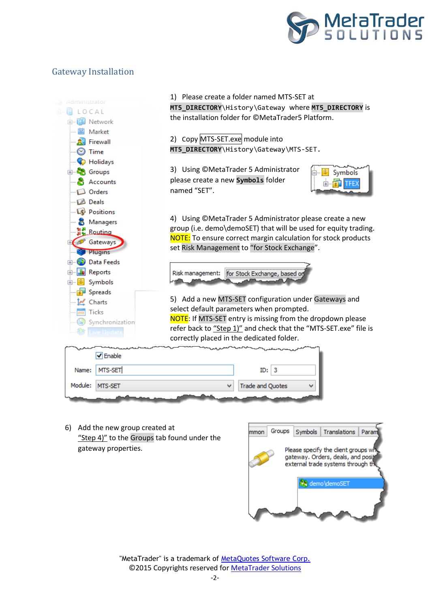

# Gateway Installation

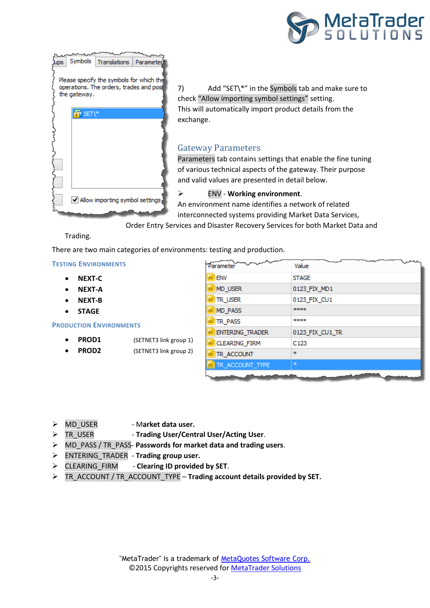



7) Add "SET\\*" in the Symbols tab and make sure to check "Allow importing symbol settings" setting. This will automatically import product details from the exchange.

## Gateway Parameters

Parameters tab contains settings that enable the fine tuning of various technical aspects of the gateway. Their purpose and valid values are presented in detail below.

#### ENV - **Working environment**.

An environment name identifies a network of related interconnected systems providing Market Data Services,

Order Entry Services and Disaster Recovery Services for both Market Data and

#### Trading.

There are two main categories of environments: testing and production.

#### **TESTING ENVIRONMENTS**

- **NEXT-C**
- **NEXT-A**
- **NEXT-B**
- **STAGE**

#### **PRODUCTION ENVIRONMENTS**

- **PROD1** (SETNET3 link group 1)
	-
	- **PROD2** (SETNET3 link group 2)

| Parameter       | Value            |
|-----------------|------------------|
| <b>ENV</b>      | <b>STAGE</b>     |
| MD_USER         | 0123_FIX_MD1     |
| TR_USER         | 0123_FIX_CU1     |
| MD_PASS         | ****             |
| TR_PASS         | ****             |
| ENTERING_TRADER | 0123_FIX_CU1_TR  |
| CLEARING_FIRM   | C <sub>123</sub> |
| TR_ACCOUNT      | sk.              |
| TR_ACCOUNT_TYPE | ż                |
|                 |                  |

- > MD USER Market data user.
- TR\_USER **Trading User/Central User/Acting User**.
- MD\_PASS / TR\_PASS- **Passwords for market data and trading users**.
- ENTERING\_TRADER **Trading group user.**
- CLEARING\_FIRM **Clearing ID provided by SET**.
- TR\_ACCOUNT / TR\_ACCOUNT\_TYPE **Trading account details provided by SET.**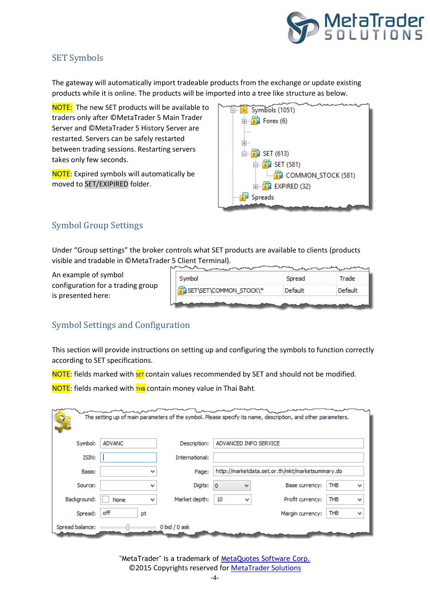

# SET Symbols

The gateway will automatically import tradeable products from the exchange or update existing products while it is online. The products will be imported into a tree like structure as below.

NOTE: The new SET products will be available to traders only after ©MetaTrader 5 Main Trader Server and ©MetaTrader 5 History Server are restarted. Servers can be safely restarted between trading sessions. Restarting servers takes only few seconds.

NOTE: Expired symbols will automatically be moved to SET/EXIPIRED folder.

| <b>E</b> Symbols (1051)      |
|------------------------------|
| 由 <mark>旬</mark> Forex (6)   |
|                              |
| +                            |
| □ <mark>旬</mark> SET (613)   |
| ⊟ <mark>国</mark> 】 SET (581) |
|                              |
| 面 <b>国 EXPIRED (32)</b>      |
| Spreads                      |
|                              |

# Symbol Group Settings

Under "Group settings" the broker controls what SET products are available to clients (products visible and tradable in ©MetaTrader 5 Client Terminal).  $\overline{a}$ 

An example of symbol configuration for a trading group is presented here:

| Symbol                 | Spread  | Trade   |
|------------------------|---------|---------|
| SET\SET\COMMON_STOCK\* | Default | Default |
|                        |         |         |

# Symbol Settings and Configuration

This section will provide instructions on setting up and configuring the symbols to function correctly according to SET specifications.

NOTE: fields marked with **SET** contain values recommended by SET and should not be modified.

NOTE: fields marked with THB contain money value in Thai Baht.

|                 |               |                |                       | The setting up of main parameters of the symbol. Please specify its name, description, and other parameters. |                 |
|-----------------|---------------|----------------|-----------------------|--------------------------------------------------------------------------------------------------------------|-----------------|
| Symbol:         | <b>ADVANC</b> | Description:   | ADVANCED INFO SERVICE |                                                                                                              |                 |
| ISIN:           |               | International: |                       |                                                                                                              |                 |
| Basis:          | w             | Page:          |                       | http://marketdata.set.or.th/mkt/marketsummary.do                                                             |                 |
| Source:         | w             | Digits:        | $\mathbf 0$<br>w      | Base currency:                                                                                               | <b>THB</b><br>v |
| Background:     | None<br>v     | Market depth:  | 10<br>v               | Profit currency:                                                                                             | <b>THB</b><br>v |
| Spread:         | off<br>рt     |                |                       | Margin currency:                                                                                             | <b>THB</b><br>v |
| Spread balance: |               | 0 bid / 0 ask  |                       |                                                                                                              |                 |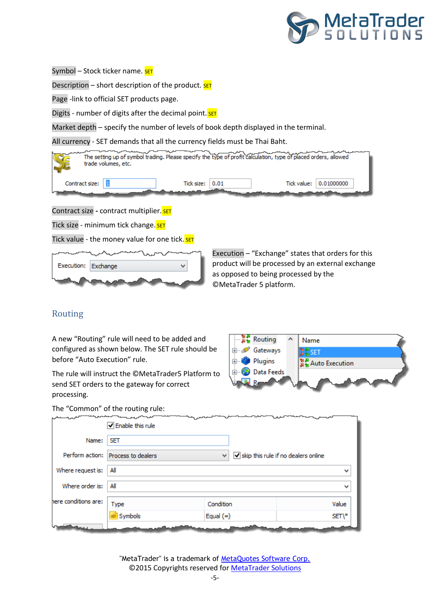

Symbol – Stock ticker name. SET

Description – short description of the product.  $\frac{1}{SET}$ 

Page -link to official SET products page.

Digits - number of digits after the decimal point. SET

Market depth – specify the number of levels of book depth displayed in the terminal.

All currency - SET demands that all the currency fields must be Thai Baht.

|                | trade volumes, etc. |                       | The setting up of symbol trading. Please specify the type of profit calculation, type of placed orders, allowed |            |  |
|----------------|---------------------|-----------------------|-----------------------------------------------------------------------------------------------------------------|------------|--|
| Contract size: |                     | Tick size: $\pm 0.01$ | Tick value:                                                                                                     | 0.01000000 |  |
|                |                     |                       |                                                                                                                 |            |  |

Contract size - contract multiplier. SET

Tick size - minimum tick change. SET

Tick value - the money value for one tick. SET



Execution – "Exchange" states that orders for this product will be processed by an external exchange as opposed to being processed by the ©MetaTrader 5 platform.

## Routing

A new "Routing" rule will need to be added and configured as shown below. The SET rule should be before "Auto Execution" rule.

The rule will instruct the ©MetaTrader5 Platform to send SET orders to the gateway for correct processing.



The "Common" of the routing rule:

|                      | $\sqrt{}$ Enable this rule         |               |                                                           |
|----------------------|------------------------------------|---------------|-----------------------------------------------------------|
| Name:                | <b>SET</b>                         |               |                                                           |
|                      | Perform action: Process to dealers | $\mathcal{A}$ | $\blacktriangleright$ skip this rule if no dealers online |
| Where request is:    | All                                |               | $\checkmark$                                              |
| Where order is:      | All                                |               | $\checkmark$                                              |
| here conditions are: | Type                               | Condition     | Value                                                     |
|                      | Symbols                            | Equal $(=)$   | SET\*                                                     |
|                      |                                    |               |                                                           |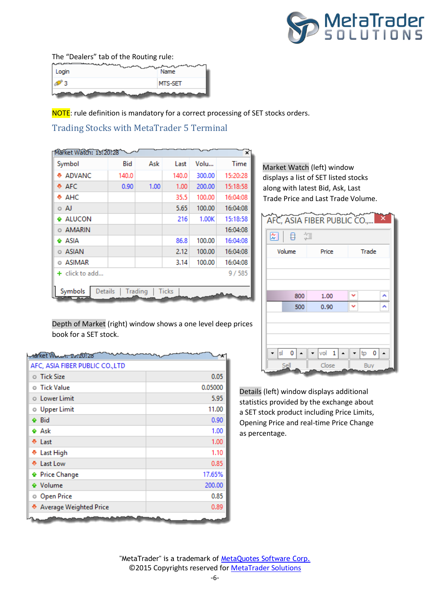

The "Dealers" tab of the Routing rule:

|       | MTS-SET                      |
|-------|------------------------------|
| Login | $\overline{a}$<br>n.<br>Name |

NOTE: rule definition is mandatory for a correct processing of SET stocks orders.

Trading Stocks with MetaTrader 5 Terminal

| Market Watch: 15:20:28 |       |         |       |        | ×        |
|------------------------|-------|---------|-------|--------|----------|
| Symbol                 | Bid   | Ask     | Last  | Volu   | Time     |
| <b>+ ADVANC</b>        | 140.0 |         | 140.0 | 300.00 | 15:20:28 |
| ⊕ AFC                  | 0.90  | 1.00    | 1.00  | 200.00 | 15:18:58 |
| ⊕ АНС                  |       |         | 35.5  | 100.00 | 16:04:08 |
| 0 AJ                   |       |         | 5.65  | 100.00 | 16:04:08 |
| <b>← ALUCON</b>        |       |         | 216   | 1.00K  | 15:18:58 |
| ○ AMARIN               |       |         |       |        | 16:04:08 |
| <b>← ASIA</b>          |       |         | 86.8  | 100.00 | 16:04:08 |
| o ASIAN                |       |         | 2.12  | 100.00 | 16:04:08 |
| © ASIMAR               |       |         | 3.14  | 100.00 | 16:04:08 |
| $+$ click to add       |       |         |       |        | 9/585    |
|                        |       |         |       |        |          |
| Symbols<br>Details     |       | Trading | Ticks |        |          |

Market Watch (left) window displays a list of SET listed stocks along with latest Bid, Ask, Last Trade Price and Last Trade Volume.

| AFC, ASIA FIBER PUBLIC CO     |                             |          |
|-------------------------------|-----------------------------|----------|
| 図<br>日、垣                      |                             |          |
| Volume                        | Price                       | Trade    |
|                               |                             |          |
|                               |                             |          |
|                               |                             |          |
| 800                           | 1.00                        |          |
| 500                           | 0.90                        |          |
|                               |                             |          |
|                               |                             |          |
|                               |                             |          |
| $ s  = 0$<br>$\blacktriangle$ | $vol$ 1<br>$\blacktriangle$ | $tp = 0$ |
| Sell                          | Close                       | Buy      |

Details (left) window displays additional statistics provided by the exchange about a SET stock product including Price Limits, Opening Price and real-time Price Change as percentage.

Depth of Market (right) window shows a one level deep prices book for a SET stock.

| narket Wowen, 19:20:28          |         |
|---------------------------------|---------|
| AFC, ASIA FIBER PUBLIC CO., LTD |         |
| $\circ$ Tick Size               | 0.05    |
| <b>O</b> Tick Value             | 0.05000 |
| <b>O</b> Lower Limit            | 5.95    |
| <b>O</b> Upper Limit            | 11.00   |
| <b>← Bid</b>                    | 0.90    |
| <b>♦ Ask</b>                    | 1.00    |
| ⊕ Last                          | 1.00    |
| <b>♦ Last High</b>              | 1.10    |
| ⊕ Last Low                      | 0.85    |
| <b>A</b> Price Change           | 17.65%  |
| <b>♦</b> Volume                 | 200.00  |
| <b>Open Price</b>               | 0.85    |
| ♦ Average Weighted Price        | 0.89    |
|                                 |         |